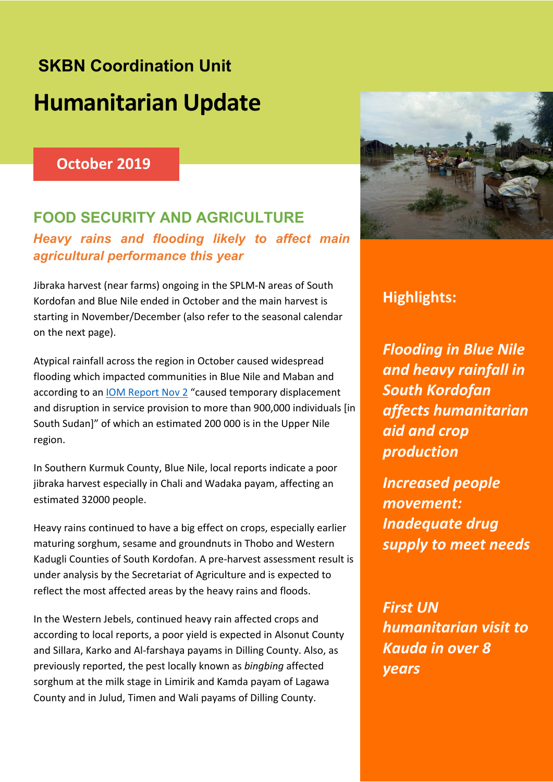# **SKBN Coordination Unit Humanitarian Update**

## **October 2019**

## **FOOD SECURITY AND AGRICULTURE**  *Heavy rains and flooding likely to affect main agricultural performance this year*

Jibraka harvest (near farms) ongoing in the SPLM-N areas of South Kordofan and Blue Nile ended in October and the main harvest is starting in November/December (also refer to the seasonal calendar on the next page).

Atypical rainfall across the region in October caused widespread flooding which impacted communities in Blue Nile and Maban and according to an IOM Report Nov 2 "caused temporary displacement and disruption in service provision to more than 900,000 individuals [in South Sudan]" of which an estimated 200 000 is in the Upper Nile region.

In Southern Kurmuk County, Blue Nile, local reports indicate a poor jibraka harvest especially in Chali and Wadaka payam, affecting an estimated 32000 people.

Heavy rains continued to have a big effect on crops, especially earlier maturing sorghum, sesame and groundnuts in Thobo and Western Kadugli Counties of South Kordofan. A pre-harvest assessment result is under analysis by the Secretariat of Agriculture and is expected to reflect the most affected areas by the heavy rains and floods.

In the Western Jebels, continued heavy rain affected crops and according to local reports, a poor yield is expected in Alsonut County and Sillara, Karko and Al-farshaya payams in Dilling County. Also, as previously reported, the pest locally known as *bingbing* affected sorghum at the milk stage in Limirik and Kamda payam of Lagawa County and in Julud, Timen and Wali payams of Dilling County.



## **Highlights:**

*Flooding in Blue Nile and heavy rainfall in South Kordofan affects humanitarian aid and crop production*

*Increased people movement: Inadequate drug supply to meet needs*

*First UN humanitarian visit to Kauda in over 8 years*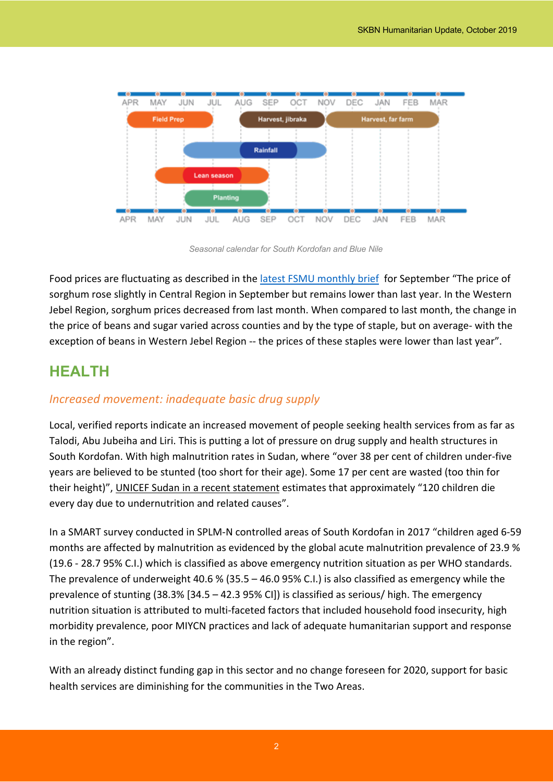

*Seasonal calendar for South Kordofan and Blue Nile*

Food prices are fluctuating as described in the latest FSMU monthly brief for September "The price of sorghum rose slightly in Central Region in September but remains lower than last year. In the Western Jebel Region, sorghum prices decreased from last month. When compared to last month, the change in the price of beans and sugar varied across counties and by the type of staple, but on average- with the exception of beans in Western Jebel Region -- the prices of these staples were lower than last year".

## **HEALTH**

## *Increased movement: inadequate basic drug supply*

Local, verified reports indicate an increased movement of people seeking health services from as far as Talodi, Abu Jubeiha and Liri. This is putting a lot of pressure on drug supply and health structures in South Kordofan. With high malnutrition rates in Sudan, where "over 38 per cent of children under-five years are believed to be stunted (too short for their age). Some 17 per cent are wasted (too thin for their height)", UNICEF Sudan in a recent statement estimates that approximately "120 children die every day due to undernutrition and related causes".

In a SMART survey conducted in SPLM-N controlled areas of South Kordofan in 2017 "children aged 6-59 months are affected by malnutrition as evidenced by the global acute malnutrition prevalence of 23.9 % (19.6 - 28.7 95% C.I.) which is classified as above emergency nutrition situation as per WHO standards. The prevalence of underweight 40.6 % (35.5 – 46.0 95% C.I.) is also classified as emergency while the prevalence of stunting (38.3% [34.5 – 42.3 95% CI]) is classified as serious/ high. The emergency nutrition situation is attributed to multi-faceted factors that included household food insecurity, high morbidity prevalence, poor MIYCN practices and lack of adequate humanitarian support and response in the region".

With an already distinct funding gap in this sector and no change foreseen for 2020, support for basic health services are diminishing for the communities in the Two Areas.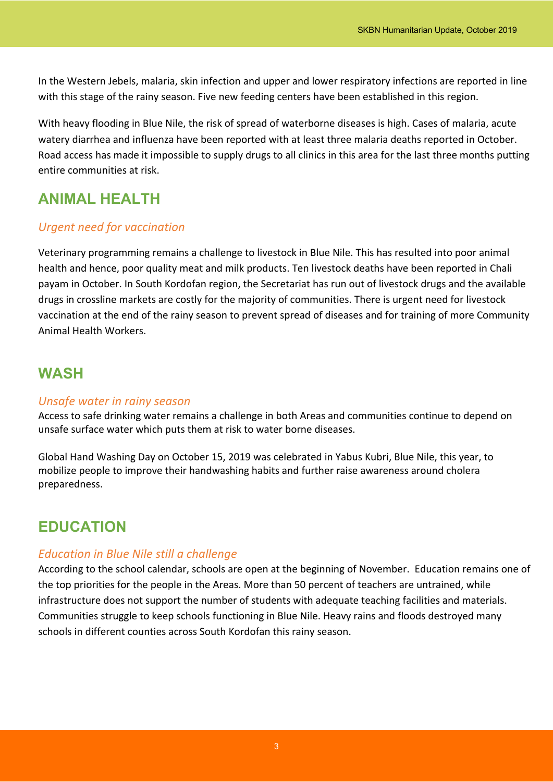In the Western Jebels, malaria, skin infection and upper and lower respiratory infections are reported in line with this stage of the rainy season. Five new feeding centers have been established in this region.

With heavy flooding in Blue Nile, the risk of spread of waterborne diseases is high. Cases of malaria, acute watery diarrhea and influenza have been reported with at least three malaria deaths reported in October. Road access has made it impossible to supply drugs to all clinics in this area for the last three months putting entire communities at risk.

# **ANIMAL HEALTH**

## *Urgent need for vaccination*

Veterinary programming remains a challenge to livestock in Blue Nile. This has resulted into poor animal health and hence, poor quality meat and milk products. Ten livestock deaths have been reported in Chali payam in October. In South Kordofan region, the Secretariat has run out of livestock drugs and the available drugs in crossline markets are costly for the majority of communities. There is urgent need for livestock vaccination at the end of the rainy season to prevent spread of diseases and for training of more Community Animal Health Workers.

## **WASH**

### *Unsafe water in rainy season*

Access to safe drinking water remains a challenge in both Areas and communities continue to depend on unsafe surface water which puts them at risk to water borne diseases.

Global Hand Washing Day on October 15, 2019 was celebrated in Yabus Kubri, Blue Nile, this year, to mobilize people to improve their handwashing habits and further raise awareness around cholera preparedness.

# **EDUCATION**

### *Education in Blue Nile still a challenge*

According to the school calendar, schools are open at the beginning of November. Education remains one of the top priorities for the people in the Areas. More than 50 percent of teachers are untrained, while infrastructure does not support the number of students with adequate teaching facilities and materials. Communities struggle to keep schools functioning in Blue Nile. Heavy rains and floods destroyed many schools in different counties across South Kordofan this rainy season.